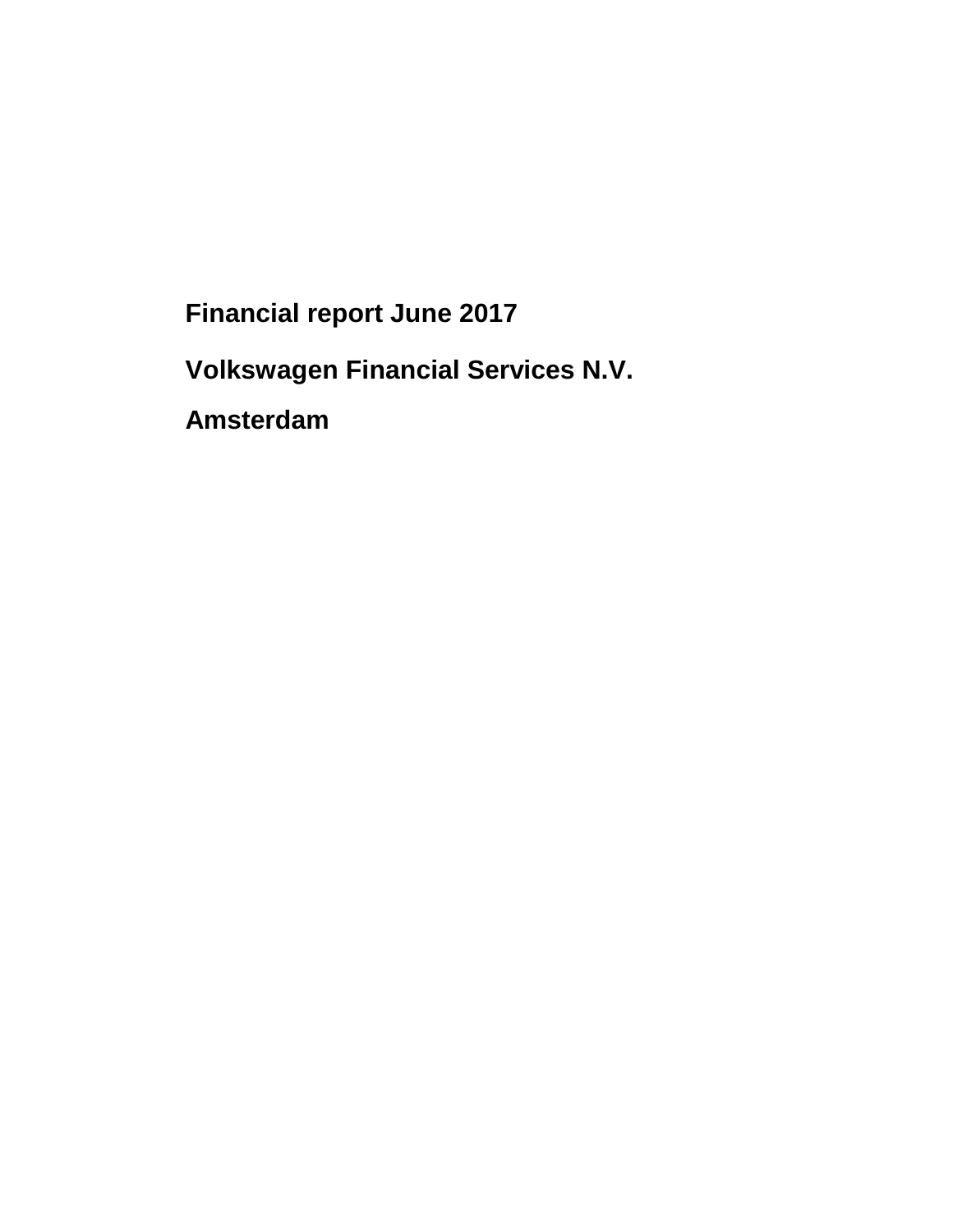**Financial report June 2017** 

**Volkswagen Financial Services N.V.** 

**Amsterdam**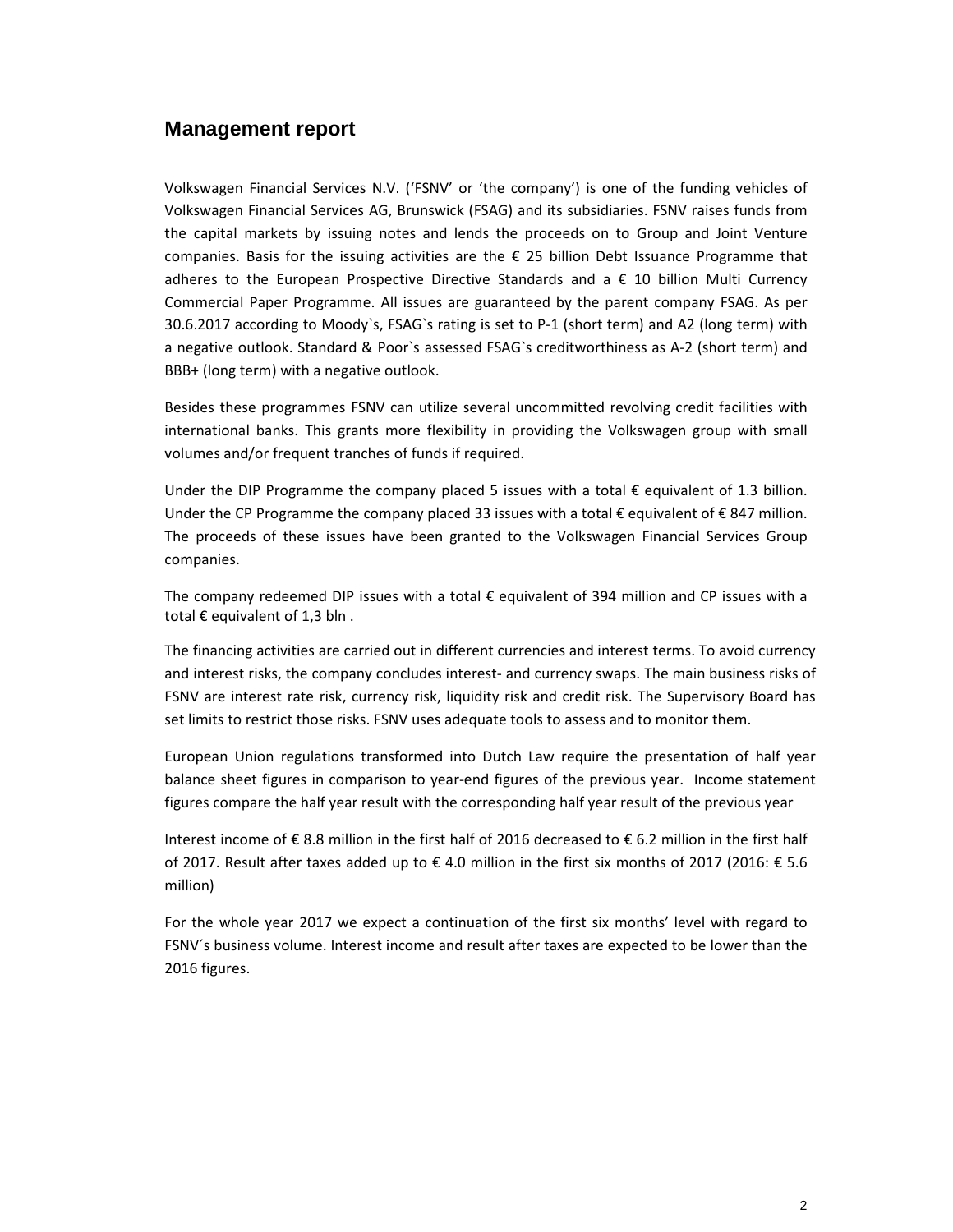### **Management report**

Volkswagen Financial Services N.V. ('FSNV' or 'the company') is one of the funding vehicles of Volkswagen Financial Services AG, Brunswick (FSAG) and its subsidiaries. FSNV raises funds from the capital markets by issuing notes and lends the proceeds on to Group and Joint Venture companies. Basis for the issuing activities are the  $\epsilon$  25 billion Debt Issuance Programme that adheres to the European Prospective Directive Standards and  $a \in \{10\}$  billion Multi Currency Commercial Paper Programme. All issues are guaranteed by the parent company FSAG. As per 30.6.2017 according to Moody`s, FSAG`s rating is set to P-1 (short term) and A2 (long term) with a negative outlook. Standard & Poor`s assessed FSAG`s creditworthiness as A-2 (short term) and BBB+ (long term) with a negative outlook.

Besides these programmes FSNV can utilize several uncommitted revolving credit facilities with international banks. This grants more flexibility in providing the Volkswagen group with small volumes and/or frequent tranches of funds if required.

Under the DIP Programme the company placed 5 issues with a total  $\epsilon$  equivalent of 1.3 billion. Under the CP Programme the company placed 33 issues with a total € equivalent of €847 million. The proceeds of these issues have been granted to the Volkswagen Financial Services Group companies.

The company redeemed DIP issues with a total  $\epsilon$  equivalent of 394 million and CP issues with a total  $\epsilon$  equivalent of 1,3 bln.

The financing activities are carried out in different currencies and interest terms. To avoid currency and interest risks, the company concludes interest- and currency swaps. The main business risks of FSNV are interest rate risk, currency risk, liquidity risk and credit risk. The Supervisory Board has set limits to restrict those risks. FSNV uses adequate tools to assess and to monitor them.

European Union regulations transformed into Dutch Law require the presentation of half year balance sheet figures in comparison to year-end figures of the previous year. Income statement figures compare the half year result with the corresponding half year result of the previous year

Interest income of € 8.8 million in the first half of 2016 decreased to € 6.2 million in the first half of 2017. Result after taxes added up to € 4.0 million in the first six months of 2017 (2016: € 5.6 million)

For the whole year 2017 we expect a continuation of the first six months' level with regard to FSNV´s business volume. Interest income and result after taxes are expected to be lower than the 2016 figures.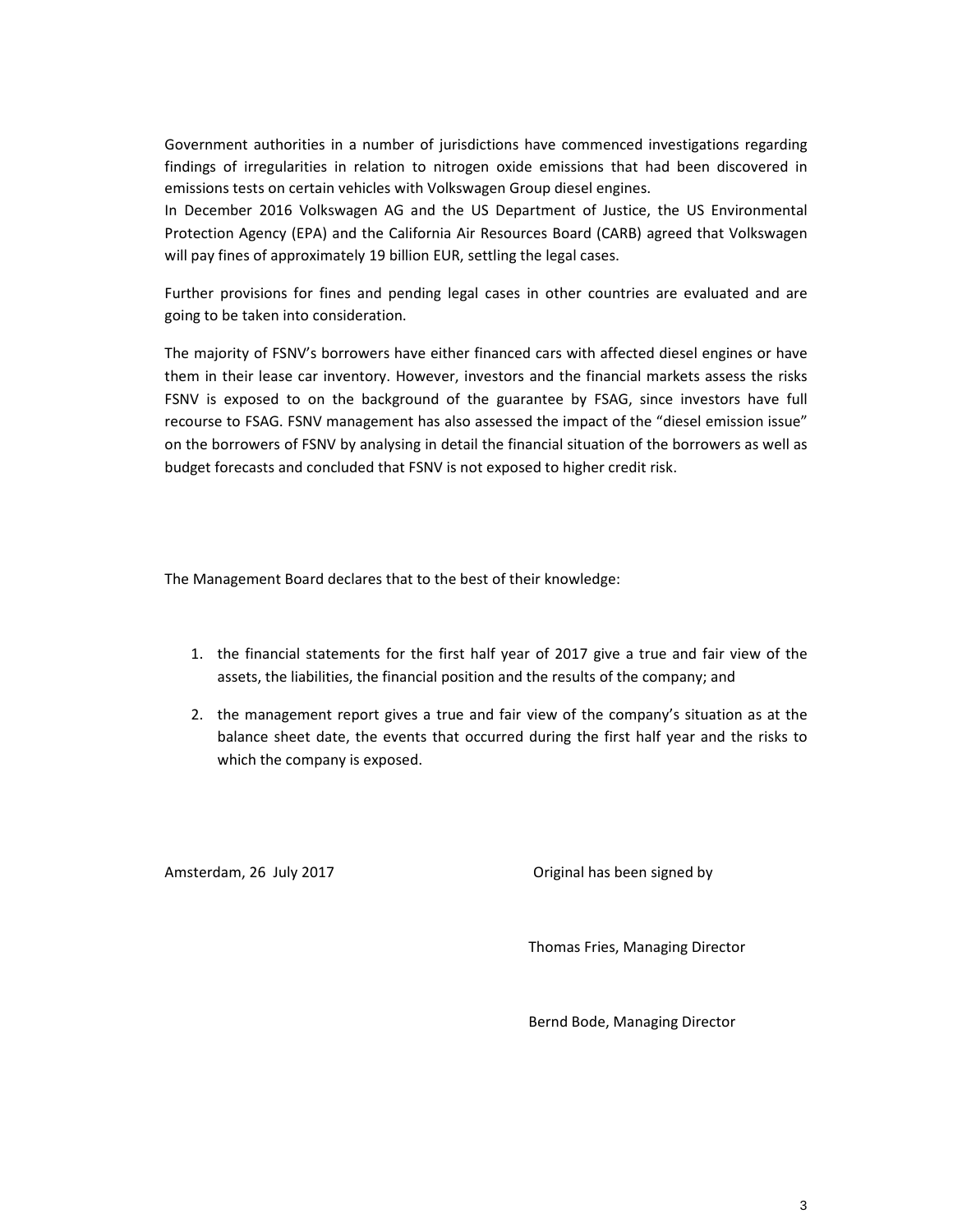Government authorities in a number of jurisdictions have commenced investigations regarding findings of irregularities in relation to nitrogen oxide emissions that had been discovered in emissions tests on certain vehicles with Volkswagen Group diesel engines.

In December 2016 Volkswagen AG and the US Department of Justice, the US Environmental Protection Agency (EPA) and the California Air Resources Board (CARB) agreed that Volkswagen will pay fines of approximately 19 billion EUR, settling the legal cases.

Further provisions for fines and pending legal cases in other countries are evaluated and are going to be taken into consideration.

The majority of FSNV's borrowers have either financed cars with affected diesel engines or have them in their lease car inventory. However, investors and the financial markets assess the risks FSNV is exposed to on the background of the guarantee by FSAG, since investors have full recourse to FSAG. FSNV management has also assessed the impact of the "diesel emission issue" on the borrowers of FSNV by analysing in detail the financial situation of the borrowers as well as budget forecasts and concluded that FSNV is not exposed to higher credit risk.

The Management Board declares that to the best of their knowledge:

- 1. the financial statements for the first half year of 2017 give a true and fair view of the assets, the liabilities, the financial position and the results of the company; and
- 2. the management report gives a true and fair view of the company's situation as at the balance sheet date, the events that occurred during the first half year and the risks to which the company is exposed.

Amsterdam, 26 July 2017 **Canadian Exercise 2018** Original has been signed by

Thomas Fries, Managing Director

Bernd Bode, Managing Director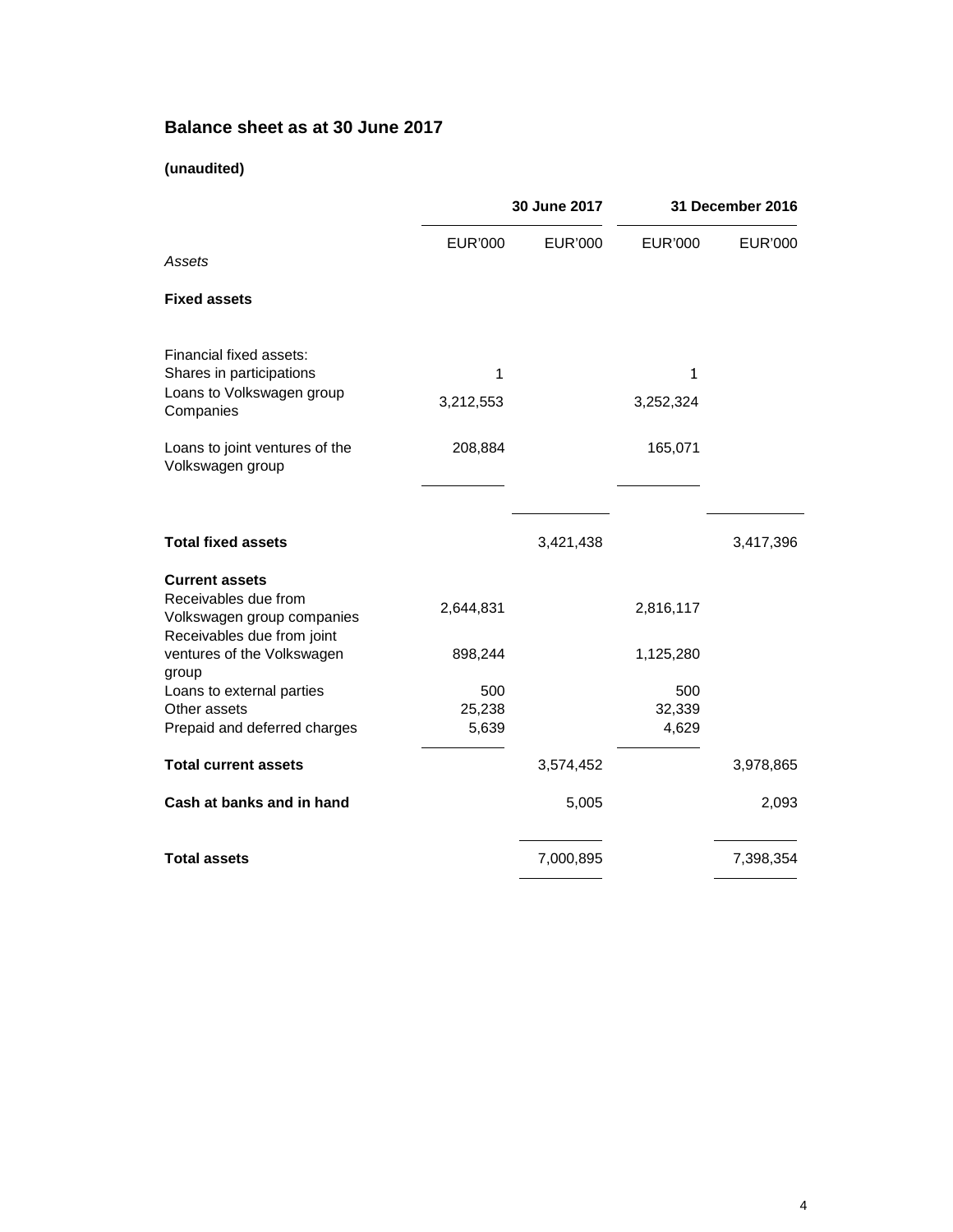# **Balance sheet as at 30 June 2017**

### **(unaudited)**

|                                                                                                           | 30 June 2017           |                | 31 December 2016       |                |
|-----------------------------------------------------------------------------------------------------------|------------------------|----------------|------------------------|----------------|
| Assets                                                                                                    | <b>EUR'000</b>         | <b>EUR'000</b> | <b>EUR'000</b>         | <b>EUR'000</b> |
| <b>Fixed assets</b>                                                                                       |                        |                |                        |                |
| Financial fixed assets:                                                                                   | 1                      |                |                        |                |
| Shares in participations<br>Loans to Volkswagen group<br>Companies                                        | 3,212,553              |                | 1<br>3,252,324         |                |
| Loans to joint ventures of the<br>Volkswagen group                                                        | 208,884                |                | 165,071                |                |
| <b>Total fixed assets</b>                                                                                 |                        | 3,421,438      |                        | 3,417,396      |
| <b>Current assets</b><br>Receivables due from<br>Volkswagen group companies<br>Receivables due from joint | 2,644,831              |                | 2,816,117              |                |
| ventures of the Volkswagen<br>group                                                                       | 898,244                |                | 1,125,280              |                |
| Loans to external parties<br>Other assets<br>Prepaid and deferred charges                                 | 500<br>25,238<br>5,639 |                | 500<br>32,339<br>4,629 |                |
| <b>Total current assets</b>                                                                               |                        | 3,574,452      |                        | 3,978,865      |
| Cash at banks and in hand                                                                                 |                        | 5,005          |                        | 2,093          |
| <b>Total assets</b>                                                                                       |                        | 7,000,895      |                        | 7,398,354      |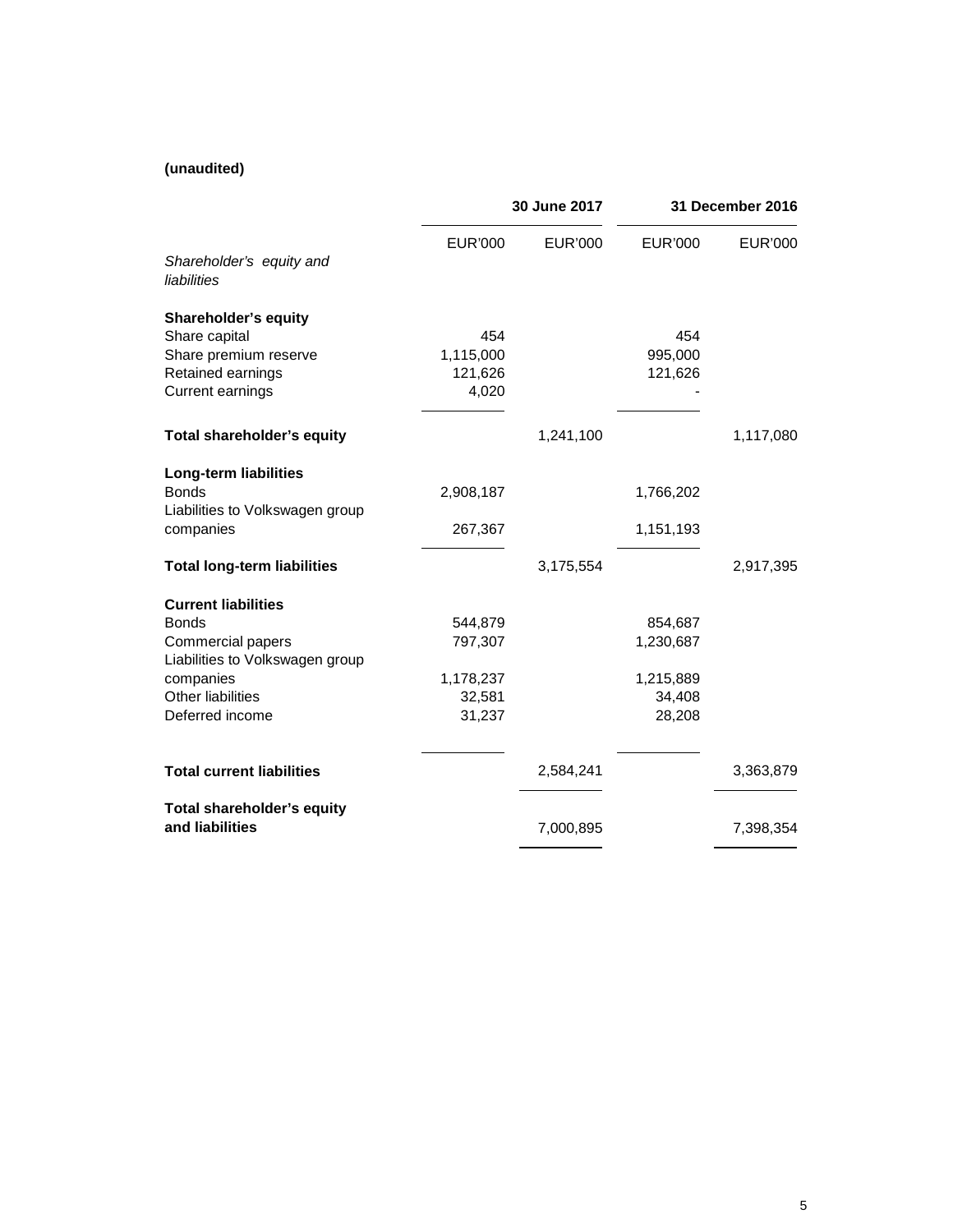### **(unaudited)**

|                                                                                                                                                         | 30 June 2017                                        |                | 31 December 2016                                      |                |
|---------------------------------------------------------------------------------------------------------------------------------------------------------|-----------------------------------------------------|----------------|-------------------------------------------------------|----------------|
| Shareholder's equity and<br>liabilities                                                                                                                 | <b>EUR'000</b>                                      | <b>EUR'000</b> | <b>EUR'000</b>                                        | <b>EUR'000</b> |
| <b>Shareholder's equity</b><br>Share capital<br>Share premium reserve<br>Retained earnings<br>Current earnings                                          | 454<br>1,115,000<br>121,626<br>4,020                |                | 454<br>995,000<br>121,626                             |                |
| Total shareholder's equity                                                                                                                              |                                                     | 1,241,100      |                                                       | 1,117,080      |
| <b>Long-term liabilities</b><br><b>Bonds</b><br>Liabilities to Volkswagen group<br>companies                                                            | 2,908,187<br>267,367                                |                | 1,766,202<br>1,151,193                                |                |
| <b>Total long-term liabilities</b>                                                                                                                      |                                                     | 3,175,554      |                                                       | 2,917,395      |
| <b>Current liabilities</b><br><b>Bonds</b><br>Commercial papers<br>Liabilities to Volkswagen group<br>companies<br>Other liabilities<br>Deferred income | 544,879<br>797,307<br>1,178,237<br>32,581<br>31,237 |                | 854,687<br>1,230,687<br>1,215,889<br>34,408<br>28,208 |                |
| <b>Total current liabilities</b>                                                                                                                        |                                                     | 2,584,241      |                                                       | 3,363,879      |
| Total shareholder's equity<br>and liabilities                                                                                                           |                                                     | 7,000,895      |                                                       | 7,398,354      |